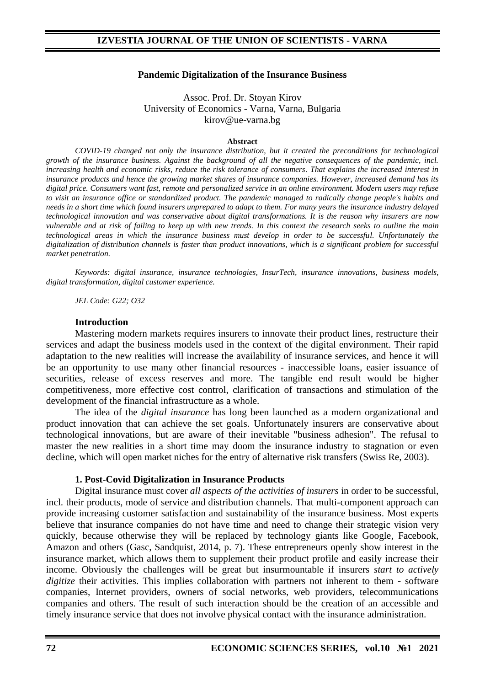#### **Pandemic Digitalization of the Insurance Business**

Assoc. Prof. Dr. Stoyan Kirov University of Economics - Varna, Varna, Bulgaria kirov@ue-varna.bg

#### **Abstract**

*COVID-19 changed not only the insurance distribution, but it created the preconditions for technological growth of the insurance business. Against the background of all the negative consequences of the pandemic, incl.*  increasing health and economic risks, reduce the risk tolerance of consumers. That explains the increased interest in *insurance products and hence the growing market shares of insurance companies. However, increased demand has its digital price. Consumers want fast, remote and personalized service in an online environment. Modern users may refuse to visit an insurance office or standardized product. The pandemic managed to radically change people's habits and needs in a short time which found insurers unprepared to adapt to them. For many years the insurance industry delayed technological innovation and was conservative about digital transformations. It is the reason why insurers are now vulnerable and at risk of failing to keep up with new trends. In this context the research seeks to outline the main technological areas in which the insurance business must develop in order to be successful. Unfortunately the digitalization of distribution channels is faster than product innovations, which is a significant problem for successful market penetration.*

*Keywords: digital insurance, insurance technologies, InsurTech, insurance innovations, business models, digital transformation, digital customer experience.*

*JEL Code: G22; O32*

#### **Introduction**

Mastering modern markets requires insurers to innovate their product lines, restructure their services and adapt the business models used in the context of the digital environment. Their rapid adaptation to the new realities will increase the availability of insurance services, and hence it will be an opportunity to use many other financial resources - inaccessible loans, easier issuance of securities, release of excess reserves and more. The tangible end result would be higher competitiveness, more effective cost control, clarification of transactions and stimulation of the development of the financial infrastructure as a whole.

The idea of the *digital insurance* has long been launched as a modern organizational and product innovation that can achieve the set goals. Unfortunately insurers are conservative about technological innovations, but are aware of their inevitable "business adhesion". The refusal to master the new realities in a short time may doom the insurance industry to stagnation or even decline, which will open market niches for the entry of alternative risk transfers (Swiss Re, 2003).

#### **1. Post-Covid Digitalization in Insurance Products**

Digital insurance must cover *all aspects of the activities of insurers* in order to be successful, incl. their products, mode of service and distribution channels. That multi-component approach can provide increasing customer satisfaction and sustainability of the insurance business. Most experts believe that insurance companies do not have time and need to change their strategic vision very quickly, because otherwise they will be replaced by technology giants like Google, Facebook, Amazon and others (Gasc, Sandquist, 2014, p. 7). These entrepreneurs openly show interest in the insurance market, which allows them to supplement their product profile and easily increase their income. Obviously the challenges will be great but insurmountable if insurers *start to actively digitize* their activities. This implies collaboration with partners not inherent to them - software companies, Internet providers, owners of social networks, web providers, telecommunications companies and others. The result of such interaction should be the creation of an accessible and timely insurance service that does not involve physical contact with the insurance administration.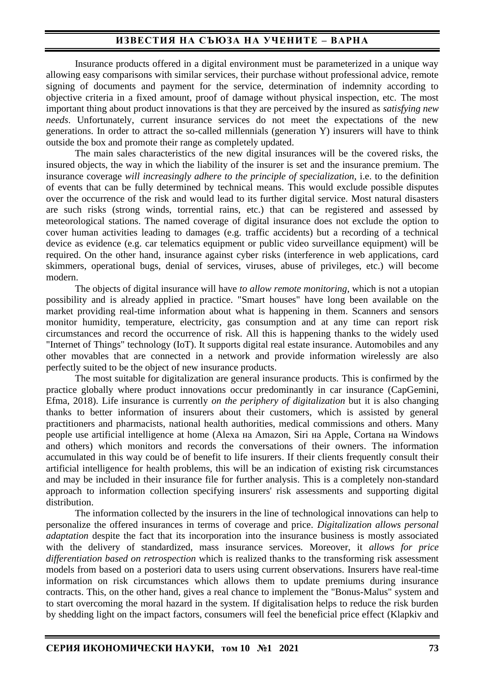Insurance products offered in a digital environment must be parameterized in a unique way allowing easy comparisons with similar services, their purchase without professional advice, remote signing of documents and payment for the service, determination of indemnity according to objective criteria in a fixed amount, proof of damage without physical inspection, etc. The most important thing about product innovations is that they are perceived by the insured as *satisfying new needs*. Unfortunately, current insurance services do not meet the expectations of the new generations. In order to attract the so-called millennials (generation Y) insurers will have to think outside the box and promote their range as completely updated.

The main sales characteristics of the new digital insurances will be the covered risks, the insured objects, the way in which the liability of the insurer is set and the insurance premium. The insurance coverage *will increasingly adhere to the principle of specialization*, i.e. to the definition of events that can be fully determined by technical means. This would exclude possible disputes over the occurrence of the risk and would lead to its further digital service. Most natural disasters are such risks (strong winds, torrential rains, etc.) that can be registered and assessed by meteorological stations. The named coverage of digital insurance does not exclude the option to cover human activities leading to damages (e.g. traffic accidents) but a recording of a technical device as evidence (e.g. car telematics equipment or public video surveillance equipment) will be required. On the other hand, insurance against cyber risks (interference in web applications, card skimmers, operational bugs, denial of services, viruses, abuse of privileges, etc.) will become modern.

The objects of digital insurance will have *to allow remote monitoring*, which is not a utopian possibility and is already applied in practice. "Smart houses" have long been available on the market providing real-time information about what is happening in them. Scanners and sensors monitor humidity, temperature, electricity, gas consumption and at any time can report risk circumstances and record the occurrence of risk. All this is happening thanks to the widely used "Internet of Things" technology (IoT). It supports digital real estate insurance. Automobiles and any other movables that are connected in a network and provide information wirelessly are also perfectly suited to be the object of new insurance products.

The most suitable for digitalization are general insurance products. This is confirmed by the practice globally where product innovations occur predominantly in car insurance (CapGemini, Efma, 2018). Life insurance is currently *on the periphery of digitalization* but it is also changing thanks to better information of insurers about their customers, which is assisted by general practitioners and pharmacists, national health authorities, medical commissions and others. Many people use artificial intelligence at home (Alexa на Amazon, Siri на Apple, Cortana на Windows and others) which monitors and records the conversations of their owners. The information accumulated in this way could be of benefit to life insurers. If their clients frequently consult their artificial intelligence for health problems, this will be an indication of existing risk circumstances and may be included in their insurance file for further analysis. This is a completely non-standard approach to information collection specifying insurers' risk assessments and supporting digital distribution.

The information collected by the insurers in the line of technological innovations can help to personalize the offered insurances in terms of coverage and price. *Digitalization allows personal adaptation* despite the fact that its incorporation into the insurance business is mostly associated with the delivery of standardized, mass insurance services*.* Moreover, it *allows for price differentiation based on retrospection* which is realized thanks to the transforming risk assessment models from based on a posteriori data to users using current observations. Insurers have real-time information on risk circumstances which allows them to update premiums during insurance contracts. This, on the other hand, gives a real chance to implement the "Bonus-Malus" system and to start overcoming the moral hazard in the system. If digitalisation helps to reduce the risk burden by shedding light on the impact factors, consumers will feel the beneficial price effect (Klapkiv and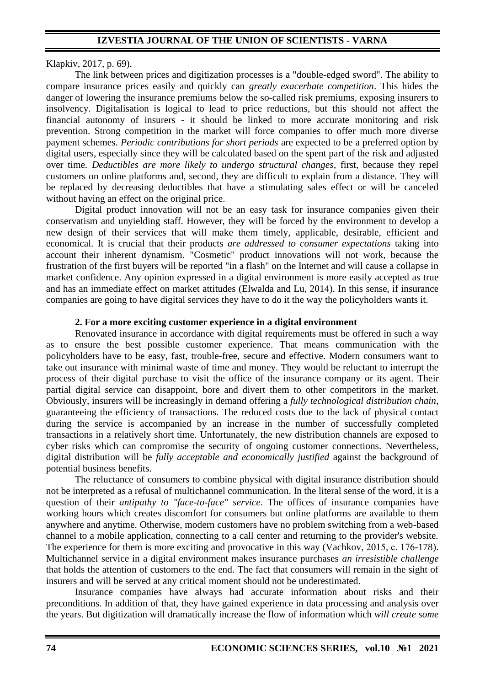### Klapkiv, 2017, p. 69).

The link between prices and digitization processes is a "double-edged sword". The ability to compare insurance prices easily and quickly can *greatly exacerbate competition*. This hides the danger of lowering the insurance premiums below the so-called risk premiums, exposing insurers to insolvency. Digitalisation is logical to lead to price reductions, but this should not affect the financial autonomy of insurers - it should be linked to more accurate monitoring and risk prevention. Strong competition in the market will force companies to offer much more diverse payment schemes. *Periodic contributions for short periods* are expected to be a preferred option by digital users, especially since they will be calculated based on the spent part of the risk and adjusted over time*. Deductibles are more likely to undergo structural changes*, first, because they repel customers on online platforms and, second, they are difficult to explain from a distance. They will be replaced by decreasing deductibles that have a stimulating sales effect or will be canceled without having an effect on the original price.

Digital product innovation will not be an easy task for insurance companies given their conservatism and unyielding staff. However, they will be forced by the environment to develop a new design of their services that will make them timely, applicable, desirable, efficient and economical. It is crucial that their products *are addressed to consumer expectations* taking into account their inherent dynamism. "Cosmetic" product innovations will not work, because the frustration of the first buyers will be reported "in a flash" on the Internet and will cause a collapse in market confidence. Any opinion expressed in a digital environment is more easily accepted as true and has an immediate effect on market attitudes (Elwalda and Lu, 2014). In this sense, if insurance companies are going to have digital services they have to do it the way the policyholders wants it.

### **2. For a more exciting customer experience in a digital environment**

Renovated insurance in accordance with digital requirements must be offered in such a way as to ensure the best possible customer experience. That means communication with the policyholders have to be easy, fast, trouble-free, secure and effective. Modern consumers want to take out insurance with minimal waste of time and money. They would be reluctant to interrupt the process of their digital purchase to visit the office of the insurance company or its agent. Their partial digital service can disappoint, bore and divert them to other competitors in the market. Obviously, insurers will be increasingly in demand offering a *fully technological distribution chain*, guaranteeing the efficiency of transactions. The reduced costs due to the lack of physical contact during the service is accompanied by an increase in the number of successfully completed transactions in a relatively short time. Unfortunately, the new distribution channels are exposed to cyber risks which can compromise the security of ongoing customer connections. Nevertheless, digital distribution will be *fully acceptable and economically justified* against the background of potential business benefits.

The reluctance of consumers to combine physical with digital insurance distribution should not be interpreted as a refusal of multichannel communication. In the literal sense of the word, it is a question of their *antipathy to "face-to-face" service*. The offices of insurance companies have working hours which creates discomfort for consumers but online platforms are available to them anywhere and anytime. Otherwise, modern customers have no problem switching from a web-based channel to a mobile application, connecting to a call center and returning to the provider's website. The experience for them is more exciting and provocative in this way (Vachkov, 2015, c. 176-178). Multichannel service in a digital environment makes insurance purchases *an irresistible challenge* that holds the attention of customers to the end. The fact that consumers will remain in the sight of insurers and will be served at any critical moment should not be underestimated.

Insurance companies have always had accurate information about risks and their preconditions. In addition of that, they have gained experience in data processing and analysis over the years. But digitization will dramatically increase the flow of information which *will create some*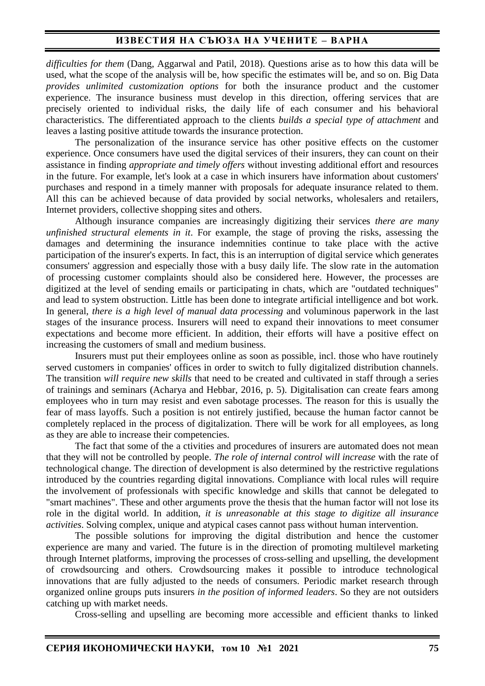*difficulties for them* (Dang, Aggarwal and Patil, 2018). Questions arise as to how this data will be used, what the scope of the analysis will be, how specific the estimates will be, and so on. Big Data *provides unlimited customization options* for both the insurance product and the customer experience. The insurance business must develop in this direction, offering services that are precisely oriented to individual risks, the daily life of each consumer and his behavioral characteristics. The differentiated approach to the clients *builds a special type of attachment* and leaves a lasting positive attitude towards the insurance protection.

The personalization of the insurance service has other positive effects on the customer experience. Once consumers have used the digital services of their insurers, they can count on their assistance in finding *appropriate and timely offers* without investing additional effort and resources in the future. For example, let's look at a case in which insurers have information about customers' purchases and respond in a timely manner with proposals for adequate insurance related to them. All this can be achieved because of data provided by social networks, wholesalers and retailers, Internet providers, collective shopping sites and others.

Although insurance companies are increasingly digitizing their services *there are many unfinished structural elements in it*. For example, the stage of proving the risks, assessing the damages and determining the insurance indemnities continue to take place with the active participation of the insurer's experts. In fact, this is an interruption of digital service which generates consumers' aggression and especially those with a busy daily life. The slow rate in the automation of processing customer complaints should also be considered here. However, the processes are digitized at the level of sending emails or participating in chats, which are "outdated techniques" and lead to system obstruction. Little has been done to integrate artificial intelligence and bot work. In general, *there is a high level of manual data processing* and voluminous paperwork in the last stages of the insurance process. Insurers will need to expand their innovations to meet consumer expectations and become more efficient. In addition, their efforts will have a positive effect on increasing the customers of small and medium business.

Insurers must put their employees online as soon as possible, incl. those who have routinely served customers in companies' offices in order to switch to fully digitalized distribution channels. The transition *will require new skills* that need to be created and cultivated in staff through a series of trainings and seminars (Acharya and Hebbar, 2016, p. 5). Digitalisation can create fears among employees who in turn may resist and even sabotage processes. The reason for this is usually the fear of mass layoffs. Such a position is not entirely justified, because the human factor cannot be completely replaced in the process of digitalization. There will be work for all employees, as long as they are able to increase their competencies.

The fact that some of the a ctivities and procedures of insurers are automated does not mean that they will not be controlled by people. *The role of internal control will increase* with the rate of technological change. The direction of development is also determined by the restrictive regulations introduced by the countries regarding digital innovations. Compliance with local rules will require the involvement of professionals with specific knowledge and skills that cannot be delegated to "smart machines". These and other arguments prove the thesis that the human factor will not lose its role in the digital world. In addition, *it is unreasonable at this stage to digitize all insurance activities*. Solving complex, unique and atypical cases cannot pass without human intervention.

The possible solutions for improving the digital distribution and hence the customer experience are many and varied. The future is in the direction of promoting multilevel marketing through Internet platforms, improving the processes of cross-selling and upselling, the development of crowdsourcing and others. Crowdsourcing makes it possible to introduce technological innovations that are fully adjusted to the needs of consumers. Periodic market research through organized online groups puts insurers *in the position of informed leaders*. So they are not outsiders catching up with market needs.

Cross-selling and upselling are becoming more accessible and efficient thanks to linked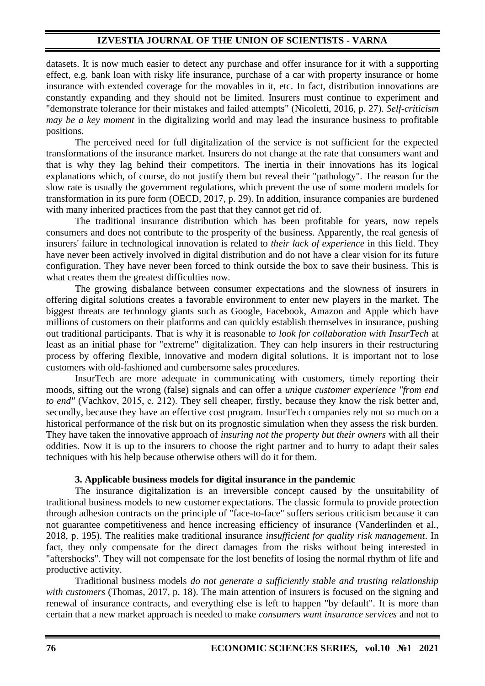## **IZVESTIA JOURNAL OF THE UNION OF SCIENTISTS - VARNA**

datasets. It is now much easier to detect any purchase and offer insurance for it with a supporting effect, e.g. bank loan with risky life insurance, purchase of a car with property insurance or home insurance with extended coverage for the movables in it, etc. In fact, distribution innovations are constantly expanding and they should not be limited. Insurers must continue to experiment and "demonstrate tolerance for their mistakes and failed attempts" (Nicoletti, 2016, p. 27). *Self-criticism may be a key moment* in the digitalizing world and may lead the insurance business to profitable positions.

The perceived need for full digitalization of the service is not sufficient for the expected transformations of the insurance market. Insurers do not change at the rate that consumers want and that is why they lag behind their competitors. The inertia in their innovations has its logical explanations which, of course, do not justify them but reveal their "pathology". The reason for the slow rate is usually the government regulations, which prevent the use of some modern models for transformation in its pure form (OECD, 2017, p. 29). In addition, insurance companies are burdened with many inherited practices from the past that they cannot get rid of.

The traditional insurance distribution which has been profitable for years, now repels consumers and does not contribute to the prosperity of the business. Apparently, the real genesis of insurers' failure in technological innovation is related to *their lack of experience* in this field. They have never been actively involved in digital distribution and do not have a clear vision for its future configuration. They have never been forced to think outside the box to save their business. This is what creates them the greatest difficulties now.

The growing disbalance between consumer expectations and the slowness of insurers in offering digital solutions creates a favorable environment to enter new players in the market. The biggest threats are technology giants such as Google, Facebook, Amazon and Apple which have millions of customers on their platforms and can quickly establish themselves in insurance, pushing out traditional participants. That is why it is reasonable *to look for collaboration with InsurTech* at least as an initial phase for "extreme" digitalization. They can help insurers in their restructuring process by offering flexible, innovative and modern digital solutions. It is important not to lose customers with old-fashioned and cumbersome sales procedures.

InsurTech are more adequate in communicating with customers, timely reporting their moods, sifting out the wrong (false) signals and can offer a *unique customer experience "from end to end"* (Vachkov, 2015, c. 212). They sell cheaper, firstly, because they know the risk better and, secondly, because they have an effective cost program. InsurTech companies rely not so much on a historical performance of the risk but on its prognostic simulation when they assess the risk burden. They have taken the innovative approach of *insuring not the property but their owners* with all their oddities. Now it is up to the insurers to choose the right partner and to hurry to adapt their sales techniques with his help because otherwise others will do it for them.

#### **3. Applicable business models for digital insurance in the pandemic**

The insurance digitalization is an irreversible concept caused by the unsuitability of traditional business models to new customer expectations. The classic formula to provide protection through adhesion contracts on the principle of "face-to-face" suffers serious criticism because it can not guarantee competitiveness and hence increasing efficiency of insurance (Vanderlinden et al., 2018, p. 195). The realities make traditional insurance *insufficient for quality risk management*. In fact, they only compensate for the direct damages from the risks without being interested in "aftershocks". They will not compensate for the lost benefits of losing the normal rhythm of life and productive activity.

Traditional business models *do not generate a sufficiently stable and trusting relationship with customers* (Thomas, 2017, p. 18). The main attention of insurers is focused on the signing and renewal of insurance contracts, and everything else is left to happen "by default". It is more than certain that a new market approach is needed to make *consumers want insurance services* and not to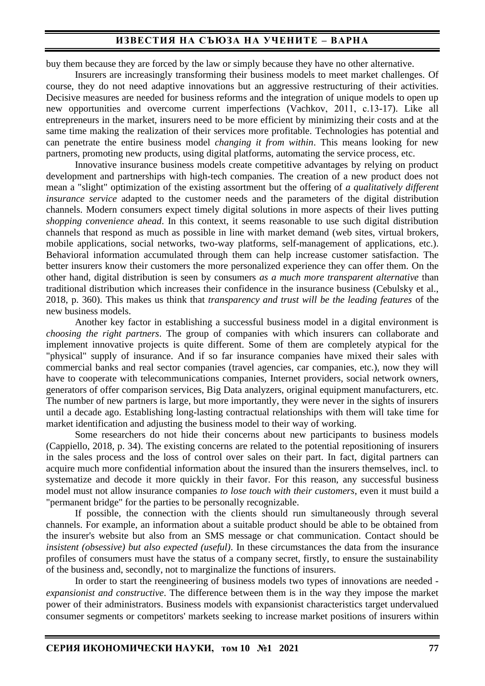buy them because they are forced by the law or simply because they have no other alternative.

Insurers are increasingly transforming their business models to meet market challenges. Of course, they do not need adaptive innovations but an aggressive restructuring of their activities. Decisive measures are needed for business reforms and the integration of unique models to open up new opportunities and overcome current imperfections (Vachkov, 2011, с.13-17). Like all entrepreneurs in the market, insurers need to be more efficient by minimizing their costs and at the same time making the realization of their services more profitable. Technologies has potential and can penetrate the entire business model *changing it from within*. This means looking for new partners, promoting new products, using digital platforms, automating the service process, etc.

Innovative insurance business models create competitive advantages by relying on product development and partnerships with high-tech companies. The creation of a new product does not mean a "slight" optimization of the existing assortment but the offering of *a qualitatively different insurance service* adapted to the customer needs and the parameters of the digital distribution channels. Modern consumers expect timely digital solutions in more aspects of their lives putting *shopping convenience ahead*. In this context, it seems reasonable to use such digital distribution channels that respond as much as possible in line with market demand (web sites, virtual brokers, mobile applications, social networks, two-way platforms, self-management of applications, etc.). Behavioral information accumulated through them can help increase customer satisfaction. The better insurers know their customers the more personalized experience they can offer them. On the other hand, digital distribution is seen by consumers *as a much more transparent alternative* than traditional distribution which increases their confidence in the insurance business (Cebulsky et al., 2018, p. 360). This makes us think that *transparency and trust will be the leading features* of the new business models.

Another key factor in establishing a successful business model in a digital environment is *choosing the right partners*. The group of companies with which insurers can collaborate and implement innovative projects is quite different. Some of them are completely atypical for the "physical" supply of insurance. And if so far insurance companies have mixed their sales with commercial banks and real sector companies (travel agencies, car companies, etc.), now they will have to cooperate with telecommunications companies, Internet providers, social network owners, generators of offer comparison services, Big Data analyzers, original equipment manufacturers, etc. The number of new partners is large, but more importantly, they were never in the sights of insurers until a decade ago. Establishing long-lasting contractual relationships with them will take time for market identification and adjusting the business model to their way of working.

Some researchers do not hide their concerns about new participants to business models (Cappiello, 2018, p. 34). The existing concerns are related to the potential repositioning of insurers in the sales process and the loss of control over sales on their part. In fact, digital partners can acquire much more confidential information about the insured than the insurers themselves, incl. to systematize and decode it more quickly in their favor. For this reason, any successful business model must not allow insurance companies *to lose touch with their customers*, even it must build a "permanent bridge" for the parties to be personally recognizable.

If possible, the connection with the clients should run simultaneously through several channels. For example, an information about a suitable product should be able to be obtained from the insurer's website but also from an SMS message or chat communication. Contact should be *insistent (obsessive) but also expected (useful)*. In these circumstances the data from the insurance profiles of consumers must have the status of a company secret, firstly, to ensure the sustainability of the business and, secondly, not to marginalize the functions of insurers.

In order to start the reengineering of business models two types of innovations are needed *expansionist and constructive*. The difference between them is in the way they impose the market power of their administrators. Business models with expansionist characteristics target undervalued consumer segments or competitors' markets seeking to increase market positions of insurers within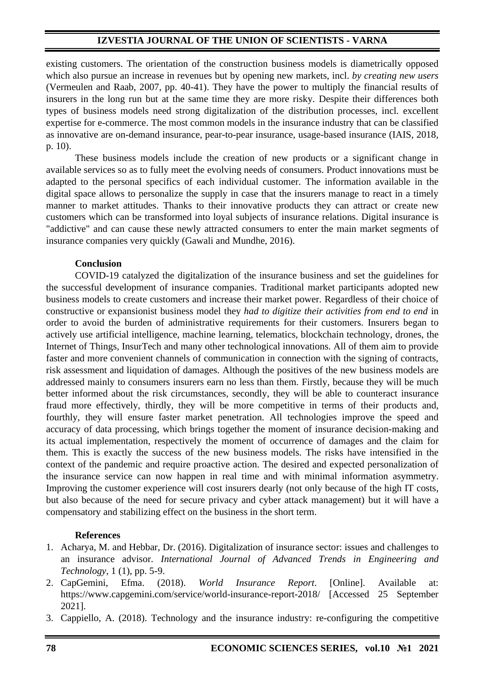## **IZVESTIA JOURNAL OF THE UNION OF SCIENTISTS - VARNA**

existing customers. The orientation of the construction business models is diametrically opposed which also pursue an increase in revenues but by opening new markets, incl. *by creating new users* (Vermeulen and Raab, 2007, pp. 40-41). They have the power to multiply the financial results of insurers in the long run but at the same time they are more risky. Despite their differences both types of business models need strong digitalization of the distribution processes, incl. excellent expertise for e-commerce. The most common models in the insurance industry that can be classified as innovative are on-demand insurance, pear-to-pear insurance, usage-based insurance (IAIS, 2018, p. 10).

These business models include the creation of new products or a significant change in available services so as to fully meet the evolving needs of consumers. Product innovations must be adapted to the personal specifics of each individual customer. The information available in the digital space allows to personalize the supply in case that the insurers manage to react in a timely manner to market attitudes. Thanks to their innovative products they can attract or create new customers which can be transformed into loyal subjects of insurance relations. Digital insurance is "addictive" and can cause these newly attracted consumers to enter the main market segments of insurance companies very quickly (Gawali and Mundhe, 2016).

## **Conclusion**

COVID-19 catalyzed the digitalization of the insurance business and set the guidelines for the successful development of insurance companies. Traditional market participants adopted new business models to create customers and increase their market power. Regardless of their choice of constructive or expansionist business model they *had to digitize their activities from end to end* in order to avoid the burden of administrative requirements for their customers. Insurers began to actively use artificial intelligence, machine learning, telematics, blockchain technology, drones, the Internet of Things, InsurTech and many other technological innovations. All of them aim to provide faster and more convenient channels of communication in connection with the signing of contracts, risk assessment and liquidation of damages. Although the positives of the new business models are addressed mainly to consumers insurers earn no less than them. Firstly, because they will be much better informed about the risk circumstances, secondly, they will be able to counteract insurance fraud more effectively, thirdly, they will be more competitive in terms of their products and, fourthly, they will ensure faster market penetration. All technologies improve the speed and accuracy of data processing, which brings together the moment of insurance decision-making and its actual implementation, respectively the moment of occurrence of damages and the claim for them. This is exactly the success of the new business models. The risks have intensified in the context of the pandemic and require proactive action. The desired and expected personalization of the insurance service can now happen in real time and with minimal information asymmetry. Improving the customer experience will cost insurers dearly (not only because of the high IT costs, but also because of the need for secure privacy and cyber attack management) but it will have a compensatory and stabilizing effect on the business in the short term.

### **References**

- 1. Acharya, M. and Hebbar, Dr. (2016). Digitalization of insurance sector: issues and challenges to an insurance advisor. *International Journal of Advanced Trends in Engineering and Technology*, 1 (1), pp. 5-9.
- 2. CapGemini, Efma. (2018). *World Insurance Report*. [Online]. Available at: https://www.capgemini.com/service/world-insurance-report-2018/ [Accessed 25 September 2021].
- 3. Cappiello, A. (2018). Technology and the insurance industry: re-configuring the competitive